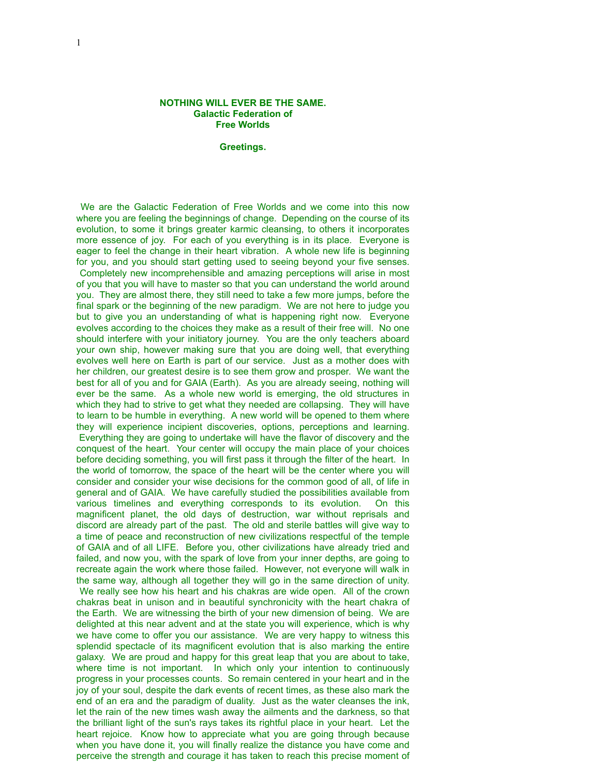## **NOTHING WILL EVER BE THE SAME. Galactic Federation of Free Worlds**

## **Greetings.**

 We are the Galactic Federation of Free Worlds and we come into this now where you are feeling the beginnings of change. Depending on the course of its evolution, to some it brings greater karmic cleansing, to others it incorporates more essence of joy. For each of you everything is in its place. Everyone is eager to feel the change in their heart vibration. A whole new life is beginning for you, and you should start getting used to seeing beyond your five senses. Completely new incomprehensible and amazing perceptions will arise in most of you that you will have to master so that you can understand the world around you. They are almost there, they still need to take a few more jumps, before the final spark or the beginning of the new paradigm. We are not here to judge you but to give you an understanding of what is happening right now. Everyone evolves according to the choices they make as a result of their free will. No one should interfere with your initiatory journey. You are the only teachers aboard your own ship, however making sure that you are doing well, that everything evolves well here on Earth is part of our service. Just as a mother does with her children, our greatest desire is to see them grow and prosper. We want the best for all of you and for GAIA (Earth). As you are already seeing, nothing will ever be the same. As a whole new world is emerging, the old structures in which they had to strive to get what they needed are collapsing. They will have to learn to be humble in everything. A new world will be opened to them where they will experience incipient discoveries, options, perceptions and learning. Everything they are going to undertake will have the flavor of discovery and the conquest of the heart. Your center will occupy the main place of your choices before deciding something, you will first pass it through the filter of the heart. In the world of tomorrow, the space of the heart will be the center where you will consider and consider your wise decisions for the common good of all, of life in general and of GAIA. We have carefully studied the possibilities available from various timelines and everything corresponds to its evolution. On this magnificent planet, the old days of destruction, war without reprisals and discord are already part of the past. The old and sterile battles will give way to a time of peace and reconstruction of new civilizations respectful of the temple of GAIA and of all LIFE. Before you, other civilizations have already tried and failed, and now you, with the spark of love from your inner depths, are going to recreate again the work where those failed. However, not everyone will walk in the same way, although all together they will go in the same direction of unity. We really see how his heart and his chakras are wide open. All of the crown chakras beat in unison and in beautiful synchronicity with the heart chakra of the Earth. We are witnessing the birth of your new dimension of being. We are delighted at this near advent and at the state you will experience, which is why we have come to offer you our assistance. We are very happy to witness this splendid spectacle of its magnificent evolution that is also marking the entire galaxy. We are proud and happy for this great leap that you are about to take, where time is not important. In which only your intention to continuously progress in your processes counts. So remain centered in your heart and in the joy of your soul, despite the dark events of recent times, as these also mark the end of an era and the paradigm of duality. Just as the water cleanses the ink, let the rain of the new times wash away the ailments and the darkness, so that the brilliant light of the sun's rays takes its rightful place in your heart. Let the heart rejoice. Know how to appreciate what you are going through because when you have done it, you will finally realize the distance you have come and perceive the strength and courage it has taken to reach this precise moment of